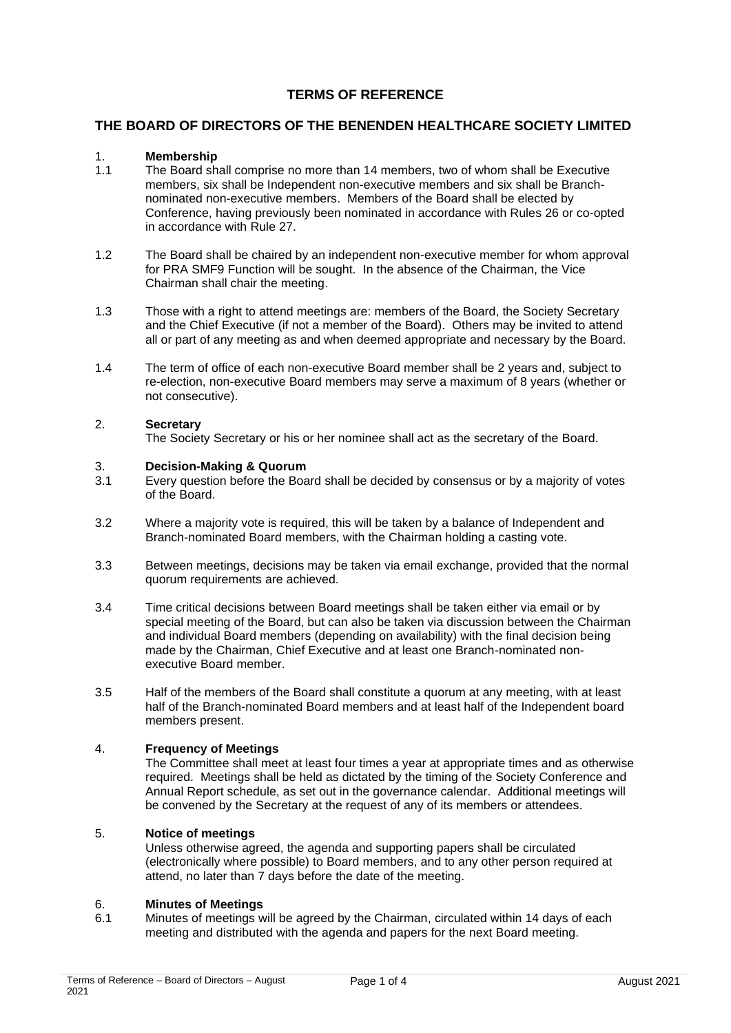### **TERMS OF REFERENCE**

#### **THE BOARD OF DIRECTORS OF THE BENENDEN HEALTHCARE SOCIETY LIMITED**

# 1. **Membership**

- The Board shall comprise no more than 14 members, two of whom shall be Executive members, six shall be Independent non-executive members and six shall be Branchnominated non-executive members. Members of the Board shall be elected by Conference, having previously been nominated in accordance with Rules 26 or co-opted in accordance with Rule 27.
- 1.2 The Board shall be chaired by an independent non-executive member for whom approval for PRA SMF9 Function will be sought. In the absence of the Chairman, the Vice Chairman shall chair the meeting.
- 1.3 Those with a right to attend meetings are: members of the Board, the Society Secretary and the Chief Executive (if not a member of the Board). Others may be invited to attend all or part of any meeting as and when deemed appropriate and necessary by the Board.
- 1.4 The term of office of each non-executive Board member shall be 2 years and, subject to re-election, non-executive Board members may serve a maximum of 8 years (whether or not consecutive).

#### 2. **Secretary**

The Society Secretary or his or her nominee shall act as the secretary of the Board.

## 3. **Decision-Making & Quorum**

- Every question before the Board shall be decided by consensus or by a majority of votes of the Board.
- 3.2 Where a majority vote is required, this will be taken by a balance of Independent and Branch-nominated Board members, with the Chairman holding a casting vote.
- 3.3 Between meetings, decisions may be taken via email exchange, provided that the normal quorum requirements are achieved.
- 3.4 Time critical decisions between Board meetings shall be taken either via email or by special meeting of the Board, but can also be taken via discussion between the Chairman and individual Board members (depending on availability) with the final decision being made by the Chairman, Chief Executive and at least one Branch-nominated nonexecutive Board member.
- 3.5 Half of the members of the Board shall constitute a quorum at any meeting, with at least half of the Branch-nominated Board members and at least half of the Independent board members present.

#### 4. **Frequency of Meetings**

The Committee shall meet at least four times a year at appropriate times and as otherwise required. Meetings shall be held as dictated by the timing of the Society Conference and Annual Report schedule, as set out in the governance calendar. Additional meetings will be convened by the Secretary at the request of any of its members or attendees.

#### 5. **Notice of meetings**

Unless otherwise agreed, the agenda and supporting papers shall be circulated (electronically where possible) to Board members, and to any other person required at attend, no later than 7 days before the date of the meeting.

#### 6. **Minutes of Meetings**

6.1 Minutes of meetings will be agreed by the Chairman, circulated within 14 days of each meeting and distributed with the agenda and papers for the next Board meeting.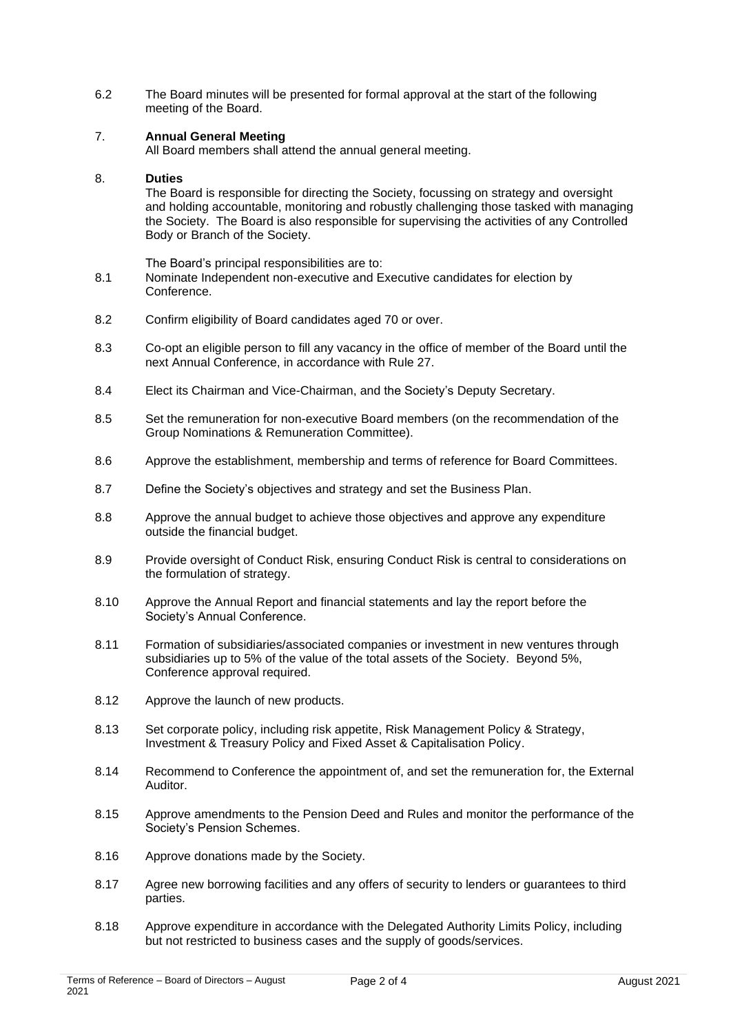6.2 The Board minutes will be presented for formal approval at the start of the following meeting of the Board.

#### 7. **Annual General Meeting**

All Board members shall attend the annual general meeting.

#### 8. **Duties**

The Board is responsible for directing the Society, focussing on strategy and oversight and holding accountable, monitoring and robustly challenging those tasked with managing the Society. The Board is also responsible for supervising the activities of any Controlled Body or Branch of the Society.

The Board's principal responsibilities are to:

- 8.1 Nominate Independent non-executive and Executive candidates for election by **Conference**
- 8.2 Confirm eligibility of Board candidates aged 70 or over.
- 8.3 Co-opt an eligible person to fill any vacancy in the office of member of the Board until the next Annual Conference, in accordance with Rule 27.
- 8.4 Elect its Chairman and Vice-Chairman, and the Society's Deputy Secretary.
- 8.5 Set the remuneration for non-executive Board members (on the recommendation of the Group Nominations & Remuneration Committee).
- 8.6 Approve the establishment, membership and terms of reference for Board Committees.
- 8.7 Define the Society's objectives and strategy and set the Business Plan.
- 8.8 Approve the annual budget to achieve those objectives and approve any expenditure outside the financial budget.
- 8.9 Provide oversight of Conduct Risk, ensuring Conduct Risk is central to considerations on the formulation of strategy.
- 8.10 Approve the Annual Report and financial statements and lay the report before the Society's Annual Conference.
- 8.11 Formation of subsidiaries/associated companies or investment in new ventures through subsidiaries up to 5% of the value of the total assets of the Society. Beyond 5%, Conference approval required.
- 8.12 Approve the launch of new products.
- 8.13 Set corporate policy, including risk appetite, Risk Management Policy & Strategy, Investment & Treasury Policy and Fixed Asset & Capitalisation Policy.
- 8.14 Recommend to Conference the appointment of, and set the remuneration for, the External Auditor.
- 8.15 Approve amendments to the Pension Deed and Rules and monitor the performance of the Society's Pension Schemes.
- 8.16 Approve donations made by the Society.
- 8.17 Agree new borrowing facilities and any offers of security to lenders or guarantees to third parties.
- 8.18 Approve expenditure in accordance with the Delegated Authority Limits Policy, including but not restricted to business cases and the supply of goods/services.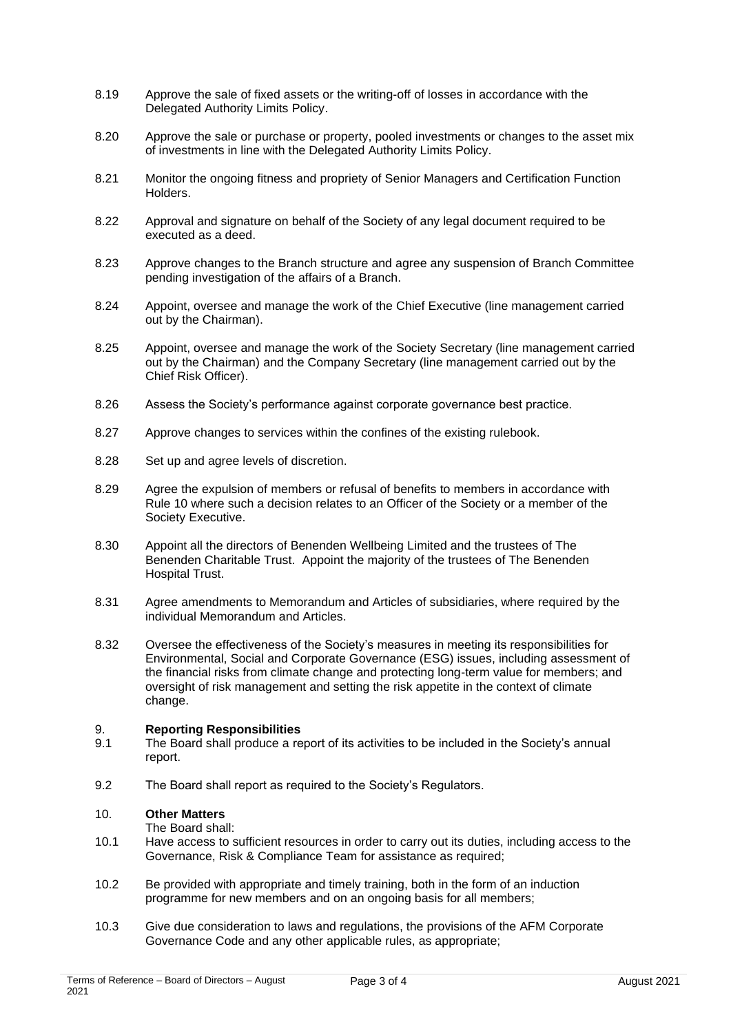- 8.19 Approve the sale of fixed assets or the writing-off of losses in accordance with the Delegated Authority Limits Policy.
- 8.20 Approve the sale or purchase or property, pooled investments or changes to the asset mix of investments in line with the Delegated Authority Limits Policy.
- 8.21 Monitor the ongoing fitness and propriety of Senior Managers and Certification Function Holders.
- 8.22 Approval and signature on behalf of the Society of any legal document required to be executed as a deed.
- 8.23 Approve changes to the Branch structure and agree any suspension of Branch Committee pending investigation of the affairs of a Branch.
- 8.24 Appoint, oversee and manage the work of the Chief Executive (line management carried out by the Chairman).
- 8.25 Appoint, oversee and manage the work of the Society Secretary (line management carried out by the Chairman) and the Company Secretary (line management carried out by the Chief Risk Officer).
- 8.26 Assess the Society's performance against corporate governance best practice.
- 8.27 Approve changes to services within the confines of the existing rulebook.
- 8.28 Set up and agree levels of discretion.
- 8.29 Agree the expulsion of members or refusal of benefits to members in accordance with Rule 10 where such a decision relates to an Officer of the Society or a member of the Society Executive.
- 8.30 Appoint all the directors of Benenden Wellbeing Limited and the trustees of The Benenden Charitable Trust. Appoint the majority of the trustees of The Benenden Hospital Trust.
- 8.31 Agree amendments to Memorandum and Articles of subsidiaries, where required by the individual Memorandum and Articles.
- 8.32 Oversee the effectiveness of the Society's measures in meeting its responsibilities for Environmental, Social and Corporate Governance (ESG) issues, including assessment of the financial risks from climate change and protecting long-term value for members; and oversight of risk management and setting the risk appetite in the context of climate change.

#### 9. **Reporting Responsibilities**

- 9.1 The Board shall produce a report of its activities to be included in the Society's annual report.
- 9.2 The Board shall report as required to the Society's Regulators.

#### 10. **Other Matters**

The Board shall:

- 10.1 Have access to sufficient resources in order to carry out its duties, including access to the Governance, Risk & Compliance Team for assistance as required;
- 10.2 Be provided with appropriate and timely training, both in the form of an induction programme for new members and on an ongoing basis for all members;
- 10.3 Give due consideration to laws and regulations, the provisions of the AFM Corporate Governance Code and any other applicable rules, as appropriate;